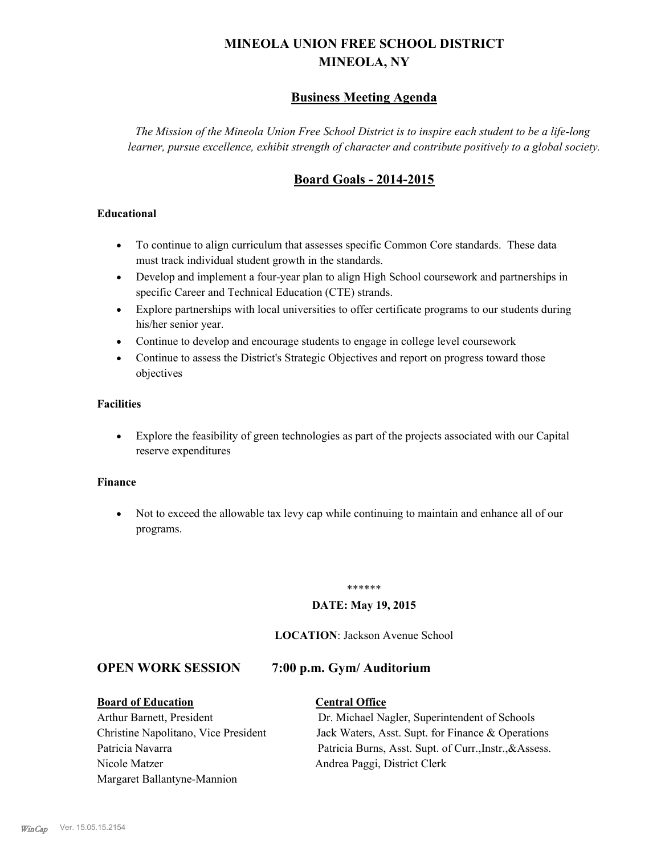# **MINEOLA UNION FREE SCHOOL DISTRICT MINEOLA, NY**

# **Business Meeting Agenda**

*The Mission of the Mineola Union Free School District is to inspire each student to be a life-long learner, pursue excellence, exhibit strength of character and contribute positively to a global society.*

# **Board Goals - 2014-2015**

# **Educational**

- · To continue to align curriculum that assesses specific Common Core standards. These data must track individual student growth in the standards.
- · Develop and implement a four-year plan to align High School coursework and partnerships in specific Career and Technical Education (CTE) strands.
- · Explore partnerships with local universities to offer certificate programs to our students during his/her senior year.
- · Continue to develop and encourage students to engage in college level coursework
- Continue to assess the District's Strategic Objectives and report on progress toward those objectives

# **Facilities**

· Explore the feasibility of green technologies as part of the projects associated with our Capital reserve expenditures

### **Finance**

· Not to exceed the allowable tax levy cap while continuing to maintain and enhance all of our programs.

### \*\*\*\*\*\*

# **DATE: May 19, 2015**

### **LOCATION**: Jackson Avenue School

# **OPEN WORK SESSION 7:00 p.m. Gym/ Auditorium**

### **Board of Education Central Office**

Nicole Matzer Andrea Paggi, District Clerk Margaret Ballantyne-Mannion

Arthur Barnett, President Dr. Michael Nagler, Superintendent of Schools Christine Napolitano, Vice President Jack Waters, Asst. Supt. for Finance & Operations Patricia Navarra Patricia Burns, Asst. Supt. of Curr., Instr., & Assess.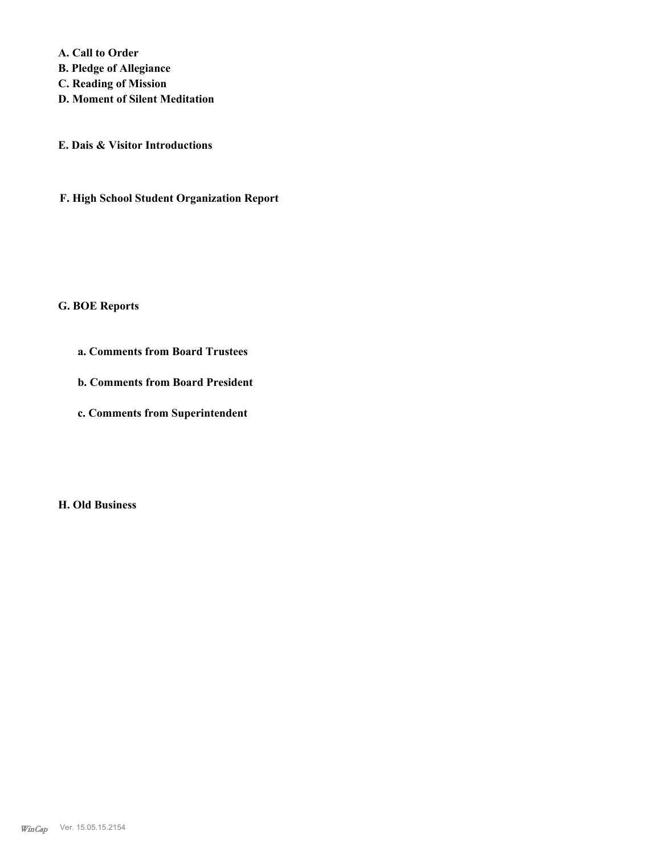**A. Call to Order B. Pledge of Allegiance C. Reading of Mission D. Moment of Silent Meditation**

**E. Dais & Visitor Introductions**

**F. High School Student Organization Report**

### **G. BOE Reports**

- **a. Comments from Board Trustees**
- **b. Comments from Board President**
- **c. Comments from Superintendent**

**H. Old Business**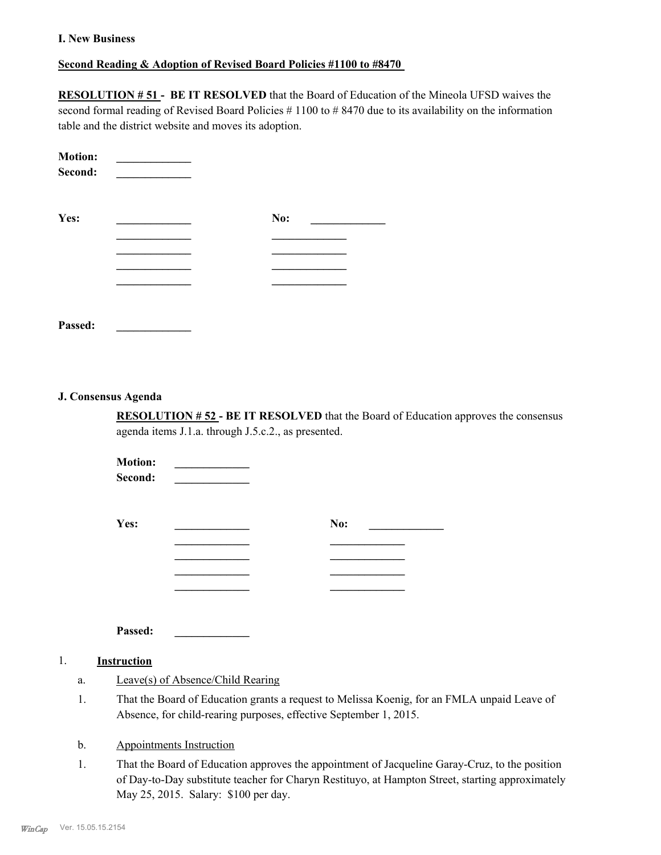### **I. New Business**

# **Second Reading & Adoption of Revised Board Policies #1100 to #8470**

**RESOLUTION # 51 - BE IT RESOLVED** that the Board of Education of the Mineola UFSD waives the second formal reading of Revised Board Policies #1100 to #8470 due to its availability on the information table and the district website and moves its adoption.

| <b>Motion:</b><br>Second: |     |
|---------------------------|-----|
| Yes:                      | No: |
|                           |     |
|                           |     |
|                           |     |
| Passed:                   |     |

### **J. Consensus Agenda**

**RESOLUTION # 52 - BE IT RESOLVED** that the Board of Education approves the consensus agenda items J.1.a. through J.5.c.2., as presented.

 $$  $Second:$ **Yes: \_\_\_\_\_\_\_\_\_\_\_\_\_ No: \_\_\_\_\_\_\_\_\_\_\_\_\_ \_\_\_\_\_\_\_\_\_\_\_\_\_ \_\_\_\_\_\_\_\_\_\_\_\_\_ \_\_\_\_\_\_\_\_\_\_\_\_\_ \_\_\_\_\_\_\_\_\_\_\_\_\_ \_\_\_\_\_\_\_\_\_\_\_\_\_ \_\_\_\_\_\_\_\_\_\_\_\_\_ \_\_\_\_\_\_\_\_\_\_\_\_\_ \_\_\_\_\_\_\_\_\_\_\_\_\_**

**Passed: \_\_\_\_\_\_\_\_\_\_\_\_\_**

### 1. **Instruction**

- a. Leave(s) of Absence/Child Rearing
- That the Board of Education grants a request to Melissa Koenig, for an FMLA unpaid Leave of Absence, for child-rearing purposes, effective September 1, 2015. 1.
- b. Appointments Instruction
- That the Board of Education approves the appointment of Jacqueline Garay-Cruz, to the position of Day-to-Day substitute teacher for Charyn Restituyo, at Hampton Street, starting approximately May 25, 2015. Salary: \$100 per day. 1.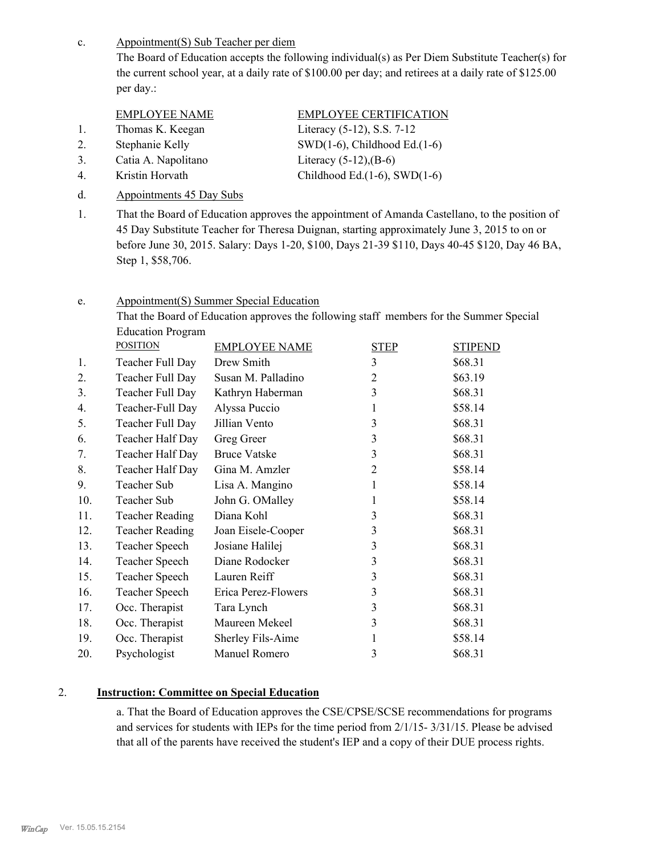Appointment(S) Sub Teacher per diem c.

> The Board of Education accepts the following individual(s) as Per Diem Substitute Teacher(s) for the current school year, at a daily rate of \$100.00 per day; and retirees at a daily rate of \$125.00 per day.:

| EMPLOYEE NAME    | EMPLOYEE CERTIFICATION     |
|------------------|----------------------------|
| Thomas K. Keegan | Literacy (5-12), S.S. 7-12 |

- 
- 3. Catia A. Napolitano Literacy (5-12),(B-6)
- 
- d. Appointments 45 Day Subs

2. Stephanie Kelly SWD(1-6), Childhood Ed.(1-6) 4. Kristin Horvath Childhood Ed.(1-6), SWD(1-6)

That the Board of Education approves the appointment of Amanda Castellano, to the position of 45 Day Substitute Teacher for Theresa Duignan, starting approximately June 3, 2015 to on or before June 30, 2015. Salary: Days 1-20, \$100, Days 21-39 \$110, Days 40-45 \$120, Day 46 BA, Step 1, \$58,706. 1.

#### Appointment(S) Summer Special Education e.

That the Board of Education approves the following staff members for the Summer Special Education Program

|     | <b>POSITION</b>        | <b>EMPLOYEE NAME</b> | <b>STEP</b>    | <b>STIPEND</b> |
|-----|------------------------|----------------------|----------------|----------------|
| 1.  | Teacher Full Day       | Drew Smith           | 3              | \$68.31        |
| 2.  | Teacher Full Day       | Susan M. Palladino   | $\overline{2}$ | \$63.19        |
| 3.  | Teacher Full Day       | Kathryn Haberman     | 3              | \$68.31        |
| 4.  | Teacher-Full Day       | Alyssa Puccio        | 1              | \$58.14        |
| 5.  | Teacher Full Day       | Jillian Vento        | 3              | \$68.31        |
| 6.  | Teacher Half Day       | Greg Greer           | 3              | \$68.31        |
| 7.  | Teacher Half Day       | <b>Bruce Vatske</b>  | 3              | \$68.31        |
| 8.  | Teacher Half Day       | Gina M. Amzler       | $\overline{2}$ | \$58.14        |
| 9.  | Teacher Sub            | Lisa A. Mangino      | 1              | \$58.14        |
| 10. | Teacher Sub            | John G. OMalley      | 1              | \$58.14        |
| 11. | <b>Teacher Reading</b> | Diana Kohl           | 3              | \$68.31        |
| 12. | <b>Teacher Reading</b> | Joan Eisele-Cooper   | 3              | \$68.31        |
| 13. | Teacher Speech         | Josiane Halilej      | 3              | \$68.31        |
| 14. | Teacher Speech         | Diane Rodocker       | 3              | \$68.31        |
| 15. | Teacher Speech         | Lauren Reiff         | 3              | \$68.31        |
| 16. | Teacher Speech         | Erica Perez-Flowers  | 3              | \$68.31        |
| 17. | Occ. Therapist         | Tara Lynch           | 3              | \$68.31        |
| 18. | Occ. Therapist         | Maureen Mekeel       | 3              | \$68.31        |
| 19. | Occ. Therapist         | Sherley Fils-Aime    | 1              | \$58.14        |
| 20. | Psychologist           | Manuel Romero        | 3              | \$68.31        |
|     |                        |                      |                |                |

# 2. **Instruction: Committee on Special Education**

a. That the Board of Education approves the CSE/CPSE/SCSE recommendations for programs and services for students with IEPs for the time period from 2/1/15- 3/31/15. Please be advised that all of the parents have received the student's IEP and a copy of their DUE process rights.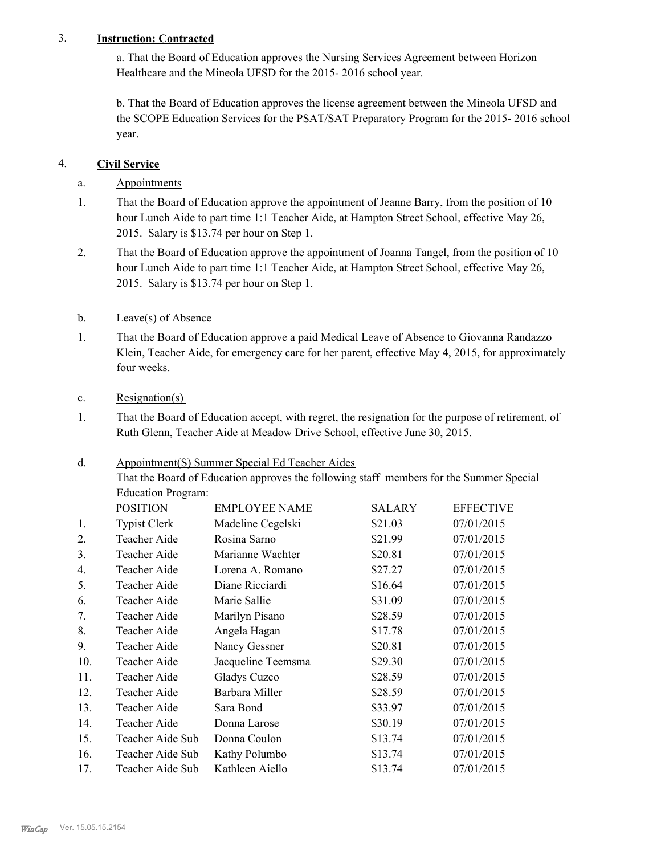# 3. **Instruction: Contracted**

a. That the Board of Education approves the Nursing Services Agreement between Horizon Healthcare and the Mineola UFSD for the 2015- 2016 school year.

b. That the Board of Education approves the license agreement between the Mineola UFSD and the SCOPE Education Services for the PSAT/SAT Preparatory Program for the 2015- 2016 school year.

# 4. **Civil Service**

# a. Appointments

- That the Board of Education approve the appointment of Jeanne Barry, from the position of 10 hour Lunch Aide to part time 1:1 Teacher Aide, at Hampton Street School, effective May 26, 2015. Salary is \$13.74 per hour on Step 1. 1.
- That the Board of Education approve the appointment of Joanna Tangel, from the position of 10 hour Lunch Aide to part time 1:1 Teacher Aide, at Hampton Street School, effective May 26, 2015. Salary is \$13.74 per hour on Step 1. 2.

# b. Leave(s) of Absence

That the Board of Education approve a paid Medical Leave of Absence to Giovanna Randazzo Klein, Teacher Aide, for emergency care for her parent, effective May 4, 2015, for approximately four weeks. 1.

# c. Resignation(s)

That the Board of Education accept, with regret, the resignation for the purpose of retirement, of Ruth Glenn, Teacher Aide at Meadow Drive School, effective June 30, 2015. 1.

### Appointment(S) Summer Special Ed Teacher Aides d.

That the Board of Education approves the following staff members for the Summer Special Education Program:

|     | <b>POSITION</b>     | <b>EMPLOYEE NAME</b> | SALARY  | <b>EFFECTIVE</b> |
|-----|---------------------|----------------------|---------|------------------|
| 1.  | <b>Typist Clerk</b> | Madeline Cegelski    | \$21.03 | 07/01/2015       |
| 2.  | Teacher Aide        | Rosina Sarno         | \$21.99 | 07/01/2015       |
| 3.  | Teacher Aide        | Marianne Wachter     | \$20.81 | 07/01/2015       |
| 4.  | Teacher Aide        | Lorena A. Romano     | \$27.27 | 07/01/2015       |
| 5.  | Teacher Aide        | Diane Ricciardi      | \$16.64 | 07/01/2015       |
| 6.  | Teacher Aide        | Marie Sallie         | \$31.09 | 07/01/2015       |
| 7.  | Teacher Aide        | Marilyn Pisano       | \$28.59 | 07/01/2015       |
| 8.  | Teacher Aide        | Angela Hagan         | \$17.78 | 07/01/2015       |
| 9.  | Teacher Aide        | Nancy Gessner        | \$20.81 | 07/01/2015       |
| 10. | Teacher Aide        | Jacqueline Teemsma   | \$29.30 | 07/01/2015       |
| 11. | Teacher Aide        | Gladys Cuzco         | \$28.59 | 07/01/2015       |
| 12. | Teacher Aide        | Barbara Miller       | \$28.59 | 07/01/2015       |
| 13. | Teacher Aide        | Sara Bond            | \$33.97 | 07/01/2015       |
| 14. | Teacher Aide        | Donna Larose         | \$30.19 | 07/01/2015       |
| 15. | Teacher Aide Sub    | Donna Coulon         | \$13.74 | 07/01/2015       |
| 16. | Teacher Aide Sub    | Kathy Polumbo        | \$13.74 | 07/01/2015       |
| 17. | Teacher Aide Sub    | Kathleen Aiello      | \$13.74 | 07/01/2015       |
|     |                     |                      |         |                  |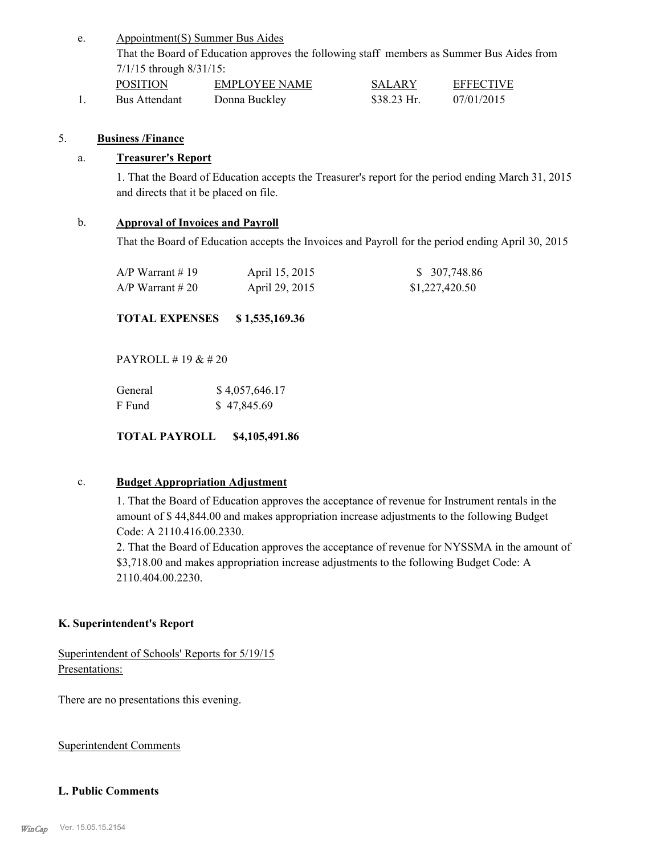Appointment(S) Summer Bus Aides That the Board of Education approves the following staff members as Summer Bus Aides from 7/1/15 through 8/31/15: e. POSITION EMPLOYEE NAME SALARY EFFECTIVE

1. Bus Attendant Donna Buckley \$38.23 Hr. 07/01/2015

# 5. **Business /Finance**

# a. **Treasurer's Report**

1. That the Board of Education accepts the Treasurer's report for the period ending March 31, 2015 and directs that it be placed on file.

# b. **Approval of Invoices and Payroll**

That the Board of Education accepts the Invoices and Payroll for the period ending April 30, 2015

| $A/P$ Warrant #19  | April 15, 2015 | \$ 307,748.86  |
|--------------------|----------------|----------------|
| $A/P$ Warrant # 20 | April 29, 2015 | \$1,227,420.50 |

**TOTAL EXPENSES \$ 1,535,169.36**

PAYROLL # 19 & # 20

| General | \$4,057,646.17 |
|---------|----------------|
| F Fund  | \$47,845.69    |

**TOTAL PAYROLL \$4,105,491.86**

### c. **Budget Appropriation Adjustment**

1. That the Board of Education approves the acceptance of revenue for Instrument rentals in the amount of \$ 44,844.00 and makes appropriation increase adjustments to the following Budget Code: A 2110.416.00.2330.

2. That the Board of Education approves the acceptance of revenue for NYSSMA in the amount of \$3,718.00 and makes appropriation increase adjustments to the following Budget Code: A 2110.404.00.2230.

# **K. Superintendent's Report**

Superintendent of Schools' Reports for 5/19/15 Presentations:

There are no presentations this evening.

Superintendent Comments

### **L. Public Comments**